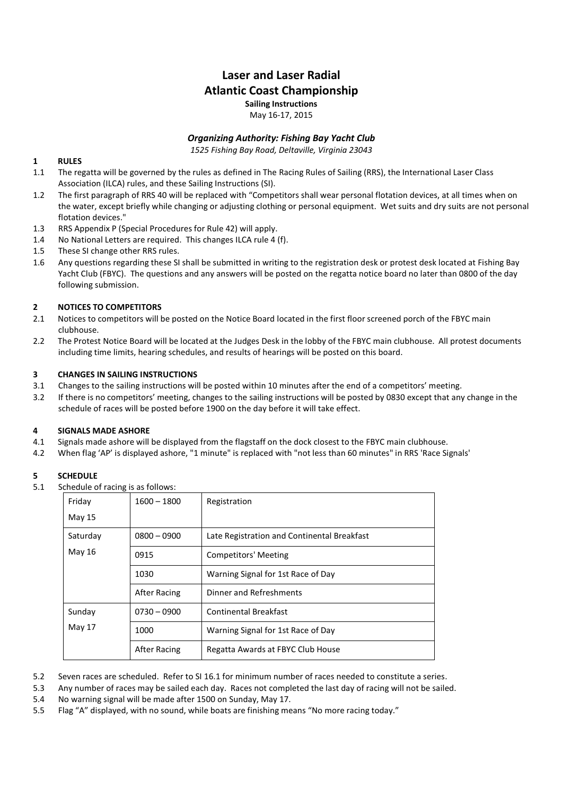# **Laser and Laser Radial Atlantic Coast Championship Sailing Instructions**

May 16-17, 2015

# *Organizing Authority: Fishing Bay Yacht Club*

*1525 Fishing Bay Road, Deltaville, Virginia 23043* 

# **1 RULES**

- 1.1 The regatta will be governed by the rules as defined in The Racing Rules of Sailing (RRS), the International Laser Class Association (ILCA) rules, and these Sailing Instructions (SI).
- 1.2 The first paragraph of RRS 40 will be replaced with "Competitors shall wear personal flotation devices, at all times when on the water, except briefly while changing or adjusting clothing or personal equipment. Wet suits and dry suits are not personal flotation devices."
- 1.3 RRS Appendix P (Special Procedures for Rule 42) will apply.
- 1.4 No National Letters are required. This changes ILCA rule 4 (f).
- 1.5 These SI change other RRS rules.
- 1.6 Any questions regarding these SI shall be submitted in writing to the registration desk or protest desk located at Fishing Bay Yacht Club (FBYC). The questions and any answers will be posted on the regatta notice board no later than 0800 of the day following submission.

#### **2 NOTICES TO COMPETITORS**

- 2.1 Notices to competitors will be posted on the Notice Board located in the first floor screened porch of the FBYC main clubhouse.
- 2.2 The Protest Notice Board will be located at the Judges Desk in the lobby of the FBYC main clubhouse. All protest documents including time limits, hearing schedules, and results of hearings will be posted on this board.

#### **3 CHANGES IN SAILING INSTRUCTIONS**

- 3.1 Changes to the sailing instructions will be posted within 10 minutes after the end of a competitors' meeting.
- 3.2 If there is no competitors' meeting, changes to the sailing instructions will be posted by 0830 except that any change in the schedule of races will be posted before 1900 on the day before it will take effect.

#### **4 SIGNALS MADE ASHORE**

- 4.1 Signals made ashore will be displayed from the flagstaff on the dock closest to the FBYC main clubhouse.
- 4.2 When flag 'AP' is displayed ashore, "1 minute" is replaced with "not less than 60 minutes" in RRS 'Race Signals'

# **5 SCHEDULE**

5.1 Schedule of racing is as follows:

| Friday           | $1600 - 1800$ | Registration                                |
|------------------|---------------|---------------------------------------------|
| May 15           |               |                                             |
| Saturday         | $0800 - 0900$ | Late Registration and Continental Breakfast |
| May $16$         | 0915          | <b>Competitors' Meeting</b>                 |
|                  | 1030          | Warning Signal for 1st Race of Day          |
|                  | After Racing  | Dinner and Refreshments                     |
| Sunday<br>May 17 | $0730 - 0900$ | <b>Continental Breakfast</b>                |
|                  | 1000          | Warning Signal for 1st Race of Day          |
|                  | After Racing  | Regatta Awards at FBYC Club House           |

5.2 Seven races are scheduled. Refer to SI 16.1 for minimum number of races needed to constitute a series.

5.3 Any number of races may be sailed each day. Races not completed the last day of racing will not be sailed.

- 5.4 No warning signal will be made after 1500 on Sunday, May 17.
- 5.5 Flag "A" displayed, with no sound, while boats are finishing means "No more racing today."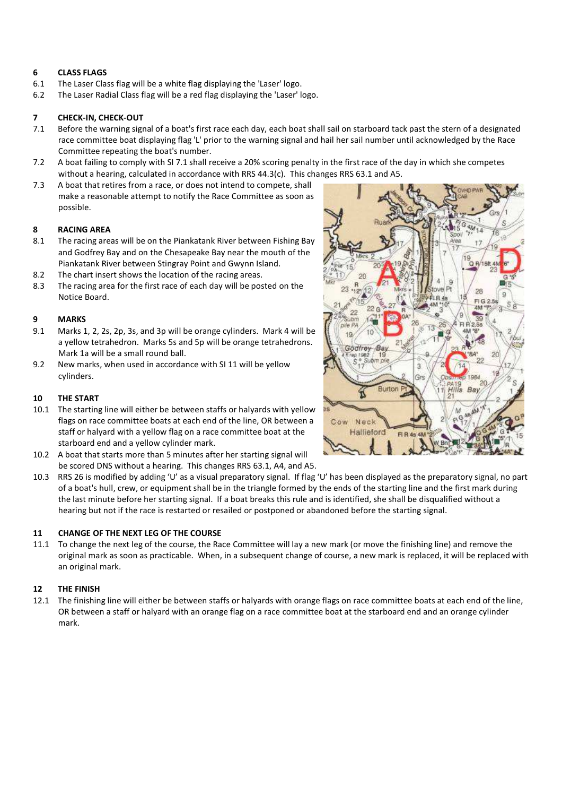## **6 CLASS FLAGS**

- 6.1 The Laser Class flag will be a white flag displaying the 'Laser' logo.
- 6.2 The Laser Radial Class flag will be a red flag displaying the 'Laser' logo.

## **7 CHECK-IN, CHECK-OUT**

- 7.1 Before the warning signal of a boat's first race each day, each boat shall sail on starboard tack past the stern of a designated race committee boat displaying flag 'L' prior to the warning signal and hail her sail number until acknowledged by the Race Committee repeating the boat's number.
- 7.2 A boat failing to comply with SI 7.1 shall receive a 20% scoring penalty in the first race of the day in which she competes without a hearing, calculated in accordance with RRS 44.3(c). This changes RRS 63.1 and A5.
- 7.3 A boat that retires from a race, or does not intend to compete, shall make a reasonable attempt to notify the Race Committee as soon as possible.

#### **8 RACING AREA**

- 8.1 The racing areas will be on the Piankatank River between Fishing Bay and Godfrey Bay and on the Chesapeake Bay near the mouth of the Piankatank River between Stingray Point and Gwynn Island.
- 8.2 The chart insert shows the location of the racing areas.
- 8.3 The racing area for the first race of each day will be posted on the Notice Board.

#### **9 MARKS**

- 9.1 Marks 1, 2, 2s, 2p, 3s, and 3p will be orange cylinders. Mark 4 will be a yellow tetrahedron. Marks 5s and 5p will be orange tetrahedrons. Mark 1a will be a small round ball.
- 9.2 New marks, when used in accordance with SI 11 will be yellow cylinders.

#### **10 THE START**

- 10.1 The starting line will either be between staffs or halyards with yellow flags on race committee boats at each end of the line, OR between a staff or halyard with a yellow flag on a race committee boat at the starboard end and a yellow cylinder mark.
- 10.2 A boat that starts more than 5 minutes after her starting signal will be scored DNS without a hearing. This changes RRS 63.1, A4, and A5.
- 10.3 RRS 26 is modified by adding 'U' as a visual preparatory signal. If flag 'U' has been displayed as the preparatory signal, no part of a boat's hull, crew, or equipment shall be in the triangle formed by the ends of the starting line and the first mark during the last minute before her starting signal. If a boat breaks this rule and is identified, she shall be disqualified without a hearing but not if the race is restarted or resailed or postponed or abandoned before the starting signal.

#### **11 CHANGE OF THE NEXT LEG OF THE COURSE**

11.1 To change the next leg of the course, the Race Committee will lay a new mark (or move the finishing line) and remove the original mark as soon as practicable. When, in a subsequent change of course, a new mark is replaced, it will be replaced with an original mark.

#### **12 THE FINISH**

12.1 The finishing line will either be between staffs or halyards with orange flags on race committee boats at each end of the line, OR between a staff or halyard with an orange flag on a race committee boat at the starboard end and an orange cylinder mark.

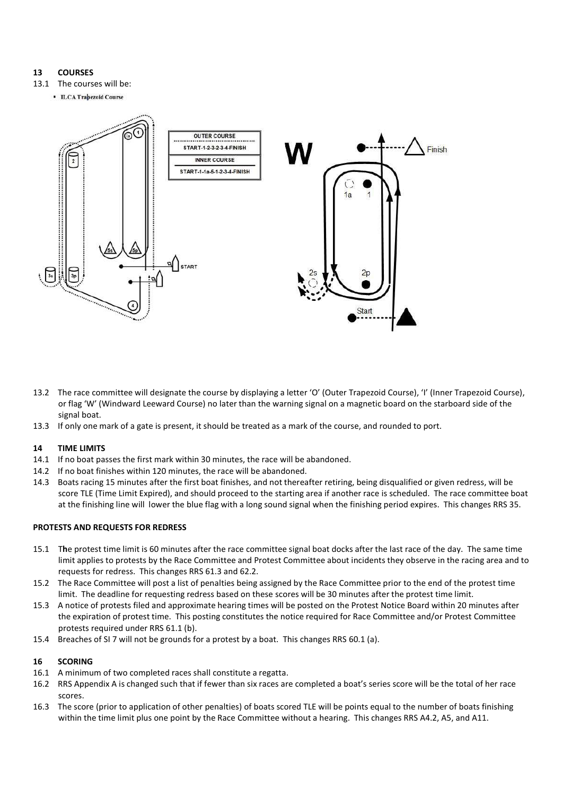# **13 COURSES**

- 13.1 The courses will be:
	- **ILCA Trapezoid Course**



- 13.2 The race committee will designate the course by displaying a letter 'O' (Outer Trapezoid Course), 'I' (Inner Trapezoid Course), or flag 'W' (Windward Leeward Course) no later than the warning signal on a magnetic board on the starboard side of the signal boat.
- 13.3 If only one mark of a gate is present, it should be treated as a mark of the course, and rounded to port.

#### **14 TIME LIMITS**

- 14.1 If no boat passes the first mark within 30 minutes, the race will be abandoned.
- 14.2 If no boat finishes within 120 minutes, the race will be abandoned.
- 14.3 Boats racing 15 minutes after the first boat finishes, and not thereafter retiring, being disqualified or given redress, will be score TLE (Time Limit Expired), and should proceed to the starting area if another race is scheduled. The race committee boat at the finishing line will lower the blue flag with a long sound signal when the finishing period expires. This changes RRS 35.

#### **PROTESTS AND REQUESTS FOR REDRESS**

- 15.1 T**h**e protest time limit is 60 minutes after the race committee signal boat docks after the last race of the day. The same time limit applies to protests by the Race Committee and Protest Committee about incidents they observe in the racing area and to requests for redress. This changes RRS 61.3 and 62.2.
- 15.2 The Race Committee will post a list of penalties being assigned by the Race Committee prior to the end of the protest time limit. The deadline for requesting redress based on these scores will be 30 minutes after the protest time limit.
- 15.3 A notice of protests filed and approximate hearing times will be posted on the Protest Notice Board within 20 minutes after the expiration of protest time. This posting constitutes the notice required for Race Committee and/or Protest Committee protests required under RRS 61.1 (b).
- 15.4 Breaches of SI 7 will not be grounds for a protest by a boat. This changes RRS 60.1 (a).

#### **16 SCORING**

- 16.1 A minimum of two completed races shall constitute a regatta.
- 16.2 RRS Appendix A is changed such that if fewer than six races are completed a boat's series score will be the total of her race scores.
- 16.3 The score (prior to application of other penalties) of boats scored TLE will be points equal to the number of boats finishing within the time limit plus one point by the Race Committee without a hearing. This changes RRS A4.2, A5, and A11.